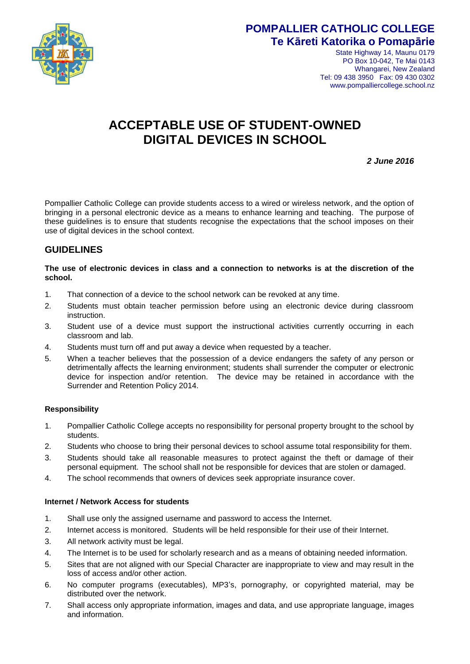

## **POMPALLIER CATHOLIC COLLEGE Te Kāreti Katorika o Pomapārie**

State Highway 14, Maunu 0179 PO Box 10-042, Te Mai 0143 Whangarei, New Zealand Tel: 09 438 3950 Fax: 09 430 0302 www.pompalliercollege.school.nz

# **ACCEPTABLE USE OF STUDENT-OWNED DIGITAL DEVICES IN SCHOOL**

*2 June 2016*

Pompallier Catholic College can provide students access to a wired or wireless network, and the option of bringing in a personal electronic device as a means to enhance learning and teaching. The purpose of these guidelines is to ensure that students recognise the expectations that the school imposes on their use of digital devices in the school context.

## **GUIDELINES**

## **The use of electronic devices in class and a connection to networks is at the discretion of the school.**

- 1. That connection of a device to the school network can be revoked at any time.
- 2. Students must obtain teacher permission before using an electronic device during classroom instruction.
- 3. Student use of a device must support the instructional activities currently occurring in each classroom and lab.
- 4. Students must turn off and put away a device when requested by a teacher.
- 5. When a teacher believes that the possession of a device endangers the safety of any person or detrimentally affects the learning environment; students shall surrender the computer or electronic device for inspection and/or retention. The device may be retained in accordance with the Surrender and Retention Policy 2014.

## **Responsibility**

- 1. Pompallier Catholic College accepts no responsibility for personal property brought to the school by students.
- 2. Students who choose to bring their personal devices to school assume total responsibility for them.
- 3. Students should take all reasonable measures to protect against the theft or damage of their personal equipment. The school shall not be responsible for devices that are stolen or damaged.
- 4. The school recommends that owners of devices seek appropriate insurance cover.

## **Internet / Network Access for students**

- 1. Shall use only the assigned username and password to access the Internet.
- 2. Internet access is monitored. Students will be held responsible for their use of their Internet.
- 3. All network activity must be legal.
- 4. The Internet is to be used for scholarly research and as a means of obtaining needed information.
- 5. Sites that are not aligned with our Special Character are inappropriate to view and may result in the loss of access and/or other action.
- 6. No computer programs (executables), MP3's, pornography, or copyrighted material, may be distributed over the network.
- 7. Shall access only appropriate information, images and data, and use appropriate language, images and information.